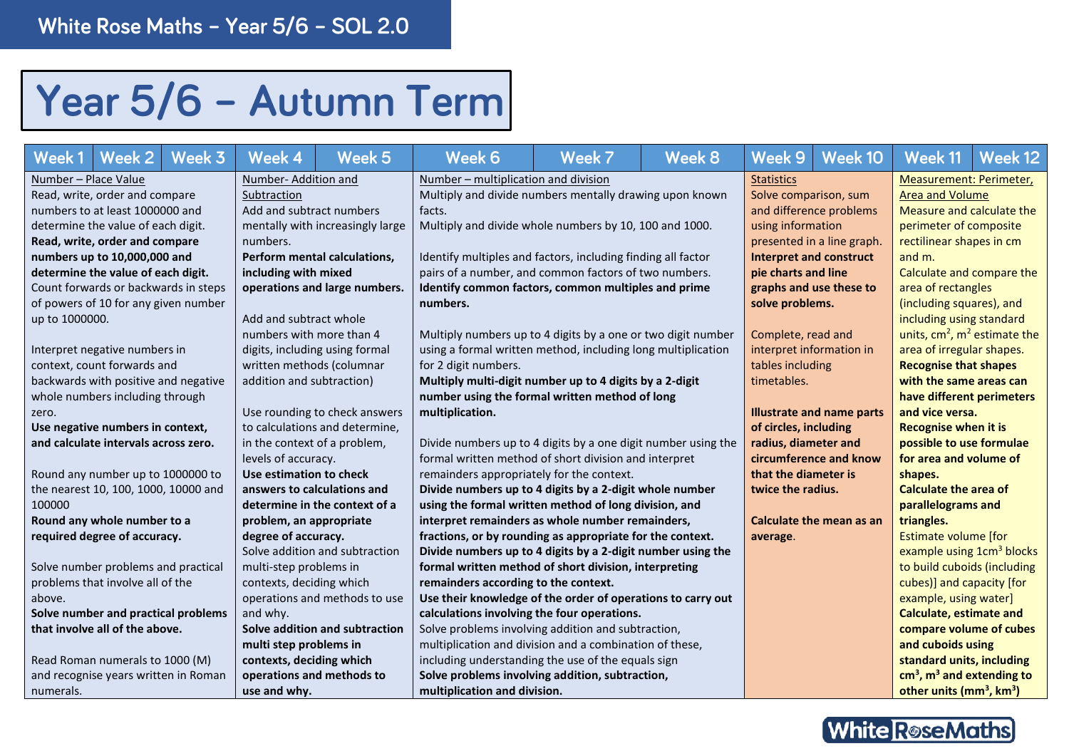## Year 5/6 - Autumn Term

| Week 3<br><b>Week 2</b><br>Week 1                           | Week 5<br>Week 4                 | Week 6                                                        | Week 7                | Week 8                 | Week 9                         | Week 10                          | Week 11                                          | Week <sub>12</sub> |  |
|-------------------------------------------------------------|----------------------------------|---------------------------------------------------------------|-----------------------|------------------------|--------------------------------|----------------------------------|--------------------------------------------------|--------------------|--|
| Number - Place Value                                        | Number-Addition and              | Number – multiplication and division                          |                       |                        | <b>Statistics</b>              |                                  | Measurement: Perimeter,                          |                    |  |
| Read, write, order and compare                              | Subtraction                      | Multiply and divide numbers mentally drawing upon known       | Solve comparison, sum |                        | <b>Area and Volume</b>         |                                  |                                                  |                    |  |
| Add and subtract numbers<br>numbers to at least 1000000 and |                                  | facts.                                                        |                       |                        | and difference problems        |                                  | Measure and calculate the                        |                    |  |
| determine the value of each digit.                          | mentally with increasingly large | Multiply and divide whole numbers by 10, 100 and 1000.        |                       |                        | using information              |                                  | perimeter of composite                           |                    |  |
| Read, write, order and compare                              | numbers.                         |                                                               |                       |                        | presented in a line graph.     |                                  | rectilinear shapes in cm                         |                    |  |
| numbers up to 10,000,000 and                                | Perform mental calculations.     | Identify multiples and factors, including finding all factor  |                       |                        | <b>Interpret and construct</b> |                                  | and m.                                           |                    |  |
| determine the value of each digit.                          | including with mixed             | pairs of a number, and common factors of two numbers.         |                       |                        | pie charts and line            |                                  | Calculate and compare the                        |                    |  |
| Count forwards or backwards in steps                        | operations and large numbers.    | Identify common factors, common multiples and prime           |                       |                        | graphs and use these to        |                                  | area of rectangles                               |                    |  |
| of powers of 10 for any given number                        |                                  | numbers.                                                      |                       |                        | solve problems.                |                                  | (including squares), and                         |                    |  |
| up to 1000000.                                              | Add and subtract whole           |                                                               |                       |                        |                                |                                  | including using standard                         |                    |  |
|                                                             | numbers with more than 4         | Multiply numbers up to 4 digits by a one or two digit number  |                       |                        | Complete, read and             |                                  | units, $cm2$ , $m2$ estimate the                 |                    |  |
| Interpret negative numbers in                               | digits, including using formal   | using a formal written method, including long multiplication  |                       |                        | interpret information in       |                                  | area of irregular shapes.                        |                    |  |
| context, count forwards and                                 | written methods (columnar        | for 2 digit numbers.                                          |                       |                        | tables including               |                                  | <b>Recognise that shapes</b>                     |                    |  |
| backwards with positive and negative                        | addition and subtraction)        | Multiply multi-digit number up to 4 digits by a 2-digit       | timetables.           |                        | with the same areas can        |                                  |                                                  |                    |  |
| whole numbers including through                             |                                  | number using the formal written method of long                |                       |                        |                                |                                  | have different perimeters                        |                    |  |
| zero.                                                       | Use rounding to check answers    | multiplication.                                               |                       |                        |                                | <b>Illustrate and name parts</b> | and vice versa.                                  |                    |  |
| Use negative numbers in context,                            | to calculations and determine,   |                                                               |                       |                        | of circles, including          |                                  | <b>Recognise when it is</b>                      |                    |  |
| and calculate intervals across zero.                        | in the context of a problem,     | Divide numbers up to 4 digits by a one digit number using the |                       |                        | radius, diameter and           |                                  | possible to use formulae                         |                    |  |
|                                                             | levels of accuracy.              | formal written method of short division and interpret         |                       | circumference and know | for area and volume of         |                                  |                                                  |                    |  |
| Round any number up to 1000000 to                           | Use estimation to check          | remainders appropriately for the context.                     |                       |                        | that the diameter is           |                                  | shapes.                                          |                    |  |
| the nearest 10, 100, 1000, 10000 and                        | answers to calculations and      | Divide numbers up to 4 digits by a 2-digit whole number       |                       |                        | twice the radius.              |                                  | <b>Calculate the area of</b>                     |                    |  |
| 100000                                                      | determine in the context of a    | using the formal written method of long division, and         |                       |                        |                                |                                  | parallelograms and                               |                    |  |
| Round any whole number to a                                 | problem, an appropriate          | interpret remainders as whole number remainders,              |                       |                        |                                | Calculate the mean as an         | triangles.                                       |                    |  |
| required degree of accuracy.                                | degree of accuracy.              | fractions, or by rounding as appropriate for the context.     |                       |                        | average.                       |                                  | <b>Estimate volume [for</b>                      |                    |  |
|                                                             | Solve addition and subtraction   | Divide numbers up to 4 digits by a 2-digit number using the   |                       |                        |                                |                                  | example using 1cm <sup>3</sup> blocks            |                    |  |
| Solve number problems and practical                         | multi-step problems in           | formal written method of short division, interpreting         |                       |                        |                                |                                  | to build cuboids (including                      |                    |  |
| problems that involve all of the                            | contexts, deciding which         | remainders according to the context.                          |                       |                        |                                | cubes)] and capacity [for        |                                                  |                    |  |
| above.                                                      | operations and methods to use    | Use their knowledge of the order of operations to carry out   |                       |                        |                                | example, using water]            |                                                  |                    |  |
| Solve number and practical problems                         | and why.                         | calculations involving the four operations.                   |                       |                        |                                | <b>Calculate, estimate and</b>   |                                                  |                    |  |
| that involve all of the above.                              | Solve addition and subtraction   | Solve problems involving addition and subtraction,            |                       |                        |                                | compare volume of cubes          |                                                  |                    |  |
|                                                             | multi step problems in           | multiplication and division and a combination of these,       |                       |                        |                                |                                  | and cuboids using                                |                    |  |
| Read Roman numerals to 1000 (M)                             | contexts, deciding which         | including understanding the use of the equals sign            |                       |                        |                                |                                  | standard units, including                        |                    |  |
| and recognise years written in Roman                        | operations and methods to        | Solve problems involving addition, subtraction,               |                       |                        |                                |                                  | $cm3$ , $m3$ and extending to                    |                    |  |
| numerals.                                                   | use and why.                     | multiplication and division.                                  |                       |                        |                                |                                  | other units (mm <sup>3</sup> , km <sup>3</sup> ) |                    |  |

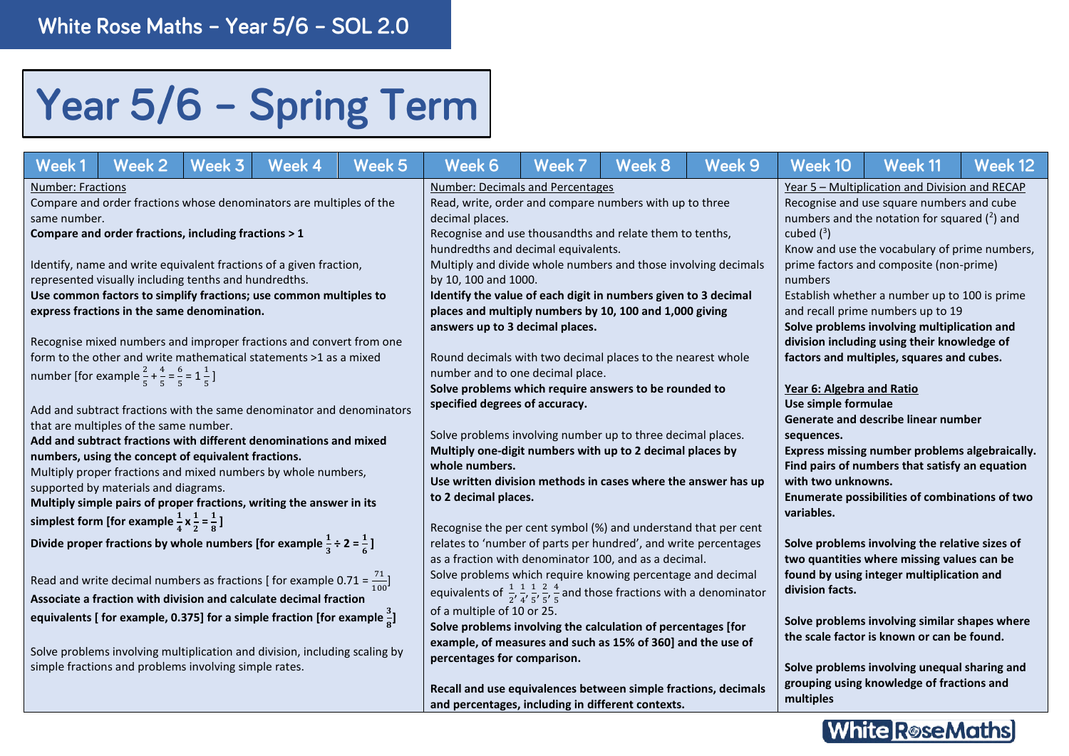## Year 5/6 - Spring Term

| Week 2<br>Week 1<br>Week 3                                                                                                                                                                                                                                                                                                                                                                                                                                                                                  | Week 4                                                                                                                                   | Week 5 | Week 6                                                                                                                                                                                                                                                                                                                                                                                           | Week 7 | Week 8                                                                                                                                                   | Week 9                                                                                                                                                                                                                                                             | Week 10                                                                                                                                                       | Week 11                                                                                                                                   | Week 12 |  |  |
|-------------------------------------------------------------------------------------------------------------------------------------------------------------------------------------------------------------------------------------------------------------------------------------------------------------------------------------------------------------------------------------------------------------------------------------------------------------------------------------------------------------|------------------------------------------------------------------------------------------------------------------------------------------|--------|--------------------------------------------------------------------------------------------------------------------------------------------------------------------------------------------------------------------------------------------------------------------------------------------------------------------------------------------------------------------------------------------------|--------|----------------------------------------------------------------------------------------------------------------------------------------------------------|--------------------------------------------------------------------------------------------------------------------------------------------------------------------------------------------------------------------------------------------------------------------|---------------------------------------------------------------------------------------------------------------------------------------------------------------|-------------------------------------------------------------------------------------------------------------------------------------------|---------|--|--|
| <b>Number: Fractions</b><br>Compare and order fractions whose denominators are multiples of the<br>same number.<br>Compare and order fractions, including fractions > 1                                                                                                                                                                                                                                                                                                                                     |                                                                                                                                          |        | <b>Number: Decimals and Percentages</b><br>Read, write, order and compare numbers with up to three<br>decimal places.<br>Recognise and use thousandths and relate them to tenths,                                                                                                                                                                                                                |        |                                                                                                                                                          |                                                                                                                                                                                                                                                                    | Year 5 - Multiplication and Division and RECAP<br>Recognise and use square numbers and cube<br>numbers and the notation for squared $(2)$ and<br>cubed $(^3)$ |                                                                                                                                           |         |  |  |
| Identify, name and write equivalent fractions of a given fraction,<br>represented visually including tenths and hundredths.<br>Use common factors to simplify fractions; use common multiples to<br>express fractions in the same denomination.                                                                                                                                                                                                                                                             |                                                                                                                                          |        | hundredths and decimal equivalents.<br>Multiply and divide whole numbers and those involving decimals<br>by 10, 100 and 1000.<br>Identify the value of each digit in numbers given to 3 decimal<br>places and multiply numbers by 10, 100 and 1,000 giving<br>answers up to 3 decimal places.                                                                                                    |        |                                                                                                                                                          | Know and use the vocabulary of prime numbers,<br>prime factors and composite (non-prime)<br>numbers<br>Establish whether a number up to 100 is prime<br>and recall prime numbers up to 19<br>Solve problems involving multiplication and                           |                                                                                                                                                               |                                                                                                                                           |         |  |  |
| number [for example $\frac{2}{5} + \frac{4}{5} = \frac{6}{5} = 1\frac{1}{5}$ ]                                                                                                                                                                                                                                                                                                                                                                                                                              | Recognise mixed numbers and improper fractions and convert from one<br>form to the other and write mathematical statements >1 as a mixed |        |                                                                                                                                                                                                                                                                                                                                                                                                  |        | Round decimals with two decimal places to the nearest whole<br>number and to one decimal place.<br>Solve problems which require answers to be rounded to | division including using their knowledge of<br>factors and multiples, squares and cubes.<br>Year 6: Algebra and Ratio                                                                                                                                              |                                                                                                                                                               |                                                                                                                                           |         |  |  |
| Add and subtract fractions with the same denominator and denominators<br>that are multiples of the same number.<br>Add and subtract fractions with different denominations and mixed<br>numbers, using the concept of equivalent fractions.<br>Multiply proper fractions and mixed numbers by whole numbers,<br>supported by materials and diagrams.<br>Multiply simple pairs of proper fractions, writing the answer in its<br>simplest form [for example $\frac{1}{4} \times \frac{1}{2} = \frac{1}{8}$ ] |                                                                                                                                          |        | specified degrees of accuracy.<br>Solve problems involving number up to three decimal places.<br>Multiply one-digit numbers with up to 2 decimal places by<br>whole numbers.<br>Use written division methods in cases where the answer has up<br>to 2 decimal places.                                                                                                                            |        |                                                                                                                                                          | Use simple formulae<br>Generate and describe linear number<br>sequences.<br>Express missing number problems algebraically.<br>Find pairs of numbers that satisfy an equation<br>with two unknowns.<br>Enumerate possibilities of combinations of two<br>variables. |                                                                                                                                                               |                                                                                                                                           |         |  |  |
| Divide proper fractions by whole numbers [for example $\frac{1}{3} \div 2 = \frac{1}{6}$ ]<br>Read and write decimal numbers as fractions [ for example 0.71 = $\frac{71}{100}$ ]<br>Associate a fraction with division and calculate decimal fraction                                                                                                                                                                                                                                                      |                                                                                                                                          |        | Recognise the per cent symbol (%) and understand that per cent<br>relates to 'number of parts per hundred', and write percentages<br>as a fraction with denominator 100, and as a decimal.<br>Solve problems which require knowing percentage and decimal<br>equivalents of $\frac{1}{2}$ , $\frac{1}{4}$ , $\frac{1}{5}$ , $\frac{2}{5}$ , $\frac{4}{5}$ and those fractions with a denominator |        |                                                                                                                                                          |                                                                                                                                                                                                                                                                    | division facts.                                                                                                                                               | Solve problems involving the relative sizes of<br>two quantities where missing values can be<br>found by using integer multiplication and |         |  |  |
| equivalents [ for example, 0.375] for a simple fraction [for example $\frac{3}{8}$ ]<br>Solve problems involving multiplication and division, including scaling by<br>simple fractions and problems involving simple rates.                                                                                                                                                                                                                                                                                 |                                                                                                                                          |        | of a multiple of 10 or 25.<br>Solve problems involving the calculation of percentages [for<br>example, of measures and such as 15% of 360] and the use of<br>percentages for comparison.<br>Recall and use equivalences between simple fractions, decimals<br>and percentages, including in different contexts.                                                                                  |        |                                                                                                                                                          | Solve problems involving similar shapes where<br>the scale factor is known or can be found.<br>Solve problems involving unequal sharing and<br>grouping using knowledge of fractions and<br>multiples                                                              |                                                                                                                                                               |                                                                                                                                           |         |  |  |